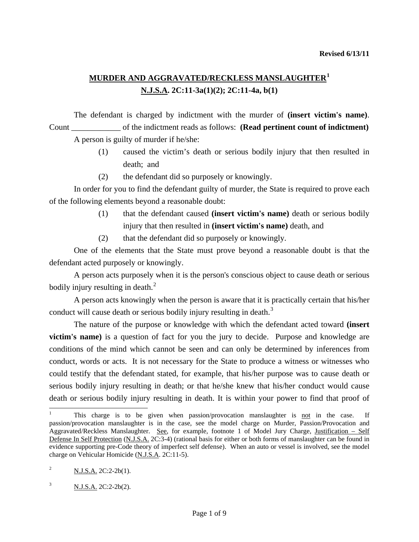## **MURDER AND AGGRAVATED/RECKLESS MANSLAUGHTER[1](#page-0-0) N.J.S.A. 2C:11-3a(1)(2); 2C:11-4a, b(1)**

 The defendant is charged by indictment with the murder of **(insert victim's name)**. Count \_\_\_\_\_\_\_\_\_\_\_\_ of the indictment reads as follows: **(Read pertinent count of indictment)** A person is guilty of murder if he/she:

- (1) caused the victim's death or serious bodily injury that then resulted in death; and
- (2) the defendant did so purposely or knowingly.

 In order for you to find the defendant guilty of murder, the State is required to prove each of the following elements beyond a reasonable doubt:

- (1) that the defendant caused **(insert victim's name)** death or serious bodily injury that then resulted in **(insert victim's name)** death, and
- (2) that the defendant did so purposely or knowingly.

 One of the elements that the State must prove beyond a reasonable doubt is that the defendant acted purposely or knowingly.

 A person acts purposely when it is the person's conscious object to cause death or serious bodily injury resulting in death.<sup>[2](#page-0-1)</sup>

 A person acts knowingly when the person is aware that it is practically certain that his/her conduct will cause death or serious bodily injury resulting in death.<sup>[3](#page-0-2)</sup>

 The nature of the purpose or knowledge with which the defendant acted toward **(insert victim's name)** is a question of fact for you the jury to decide. Purpose and knowledge are conditions of the mind which cannot be seen and can only be determined by inferences from conduct, words or acts. It is not necessary for the State to produce a witness or witnesses who could testify that the defendant stated, for example, that his/her purpose was to cause death or serious bodily injury resulting in death; or that he/she knew that his/her conduct would cause death or serious bodily injury resulting in death. It is within your power to find that proof of

 $\overline{\phantom{a}}$ 

<span id="page-0-0"></span><sup>1</sup> This charge is to be given when passion/provocation manslaughter is not in the case. If passion/provocation manslaughter is in the case, see the model charge on Murder, Passion/Provocation and Aggravated/Reckless Manslaughter. See, for example, footnote 1 of Model Jury Charge, Justification – Self Defense In Self Protection (N.J.S.A. 2C:3-4) (rational basis for either or both forms of manslaughter can be found in evidence supporting pre-Code theory of imperfect self defense). When an auto or vessel is involved, see the model charge on Vehicular Homicide (N.J.S.A. 2C:11-5).

<span id="page-0-3"></span><span id="page-0-1"></span><sup>&</sup>lt;sup>2</sup> N.J.S.A. 2C:2-2b(1).

<span id="page-0-2"></span> $N.J.S.A. 2C:2-2b(2).$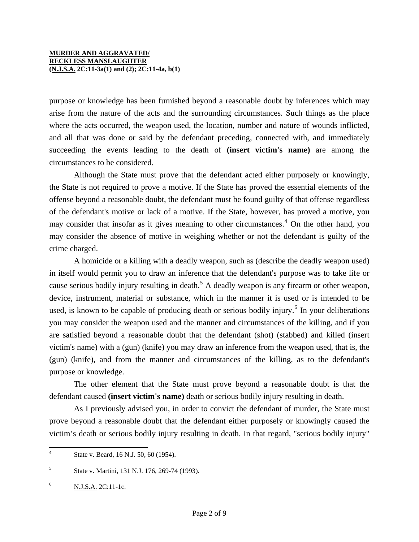purpose or knowledge has been furnished beyond a reasonable doubt by inferences which may arise from the nature of the acts and the surrounding circumstances. Such things as the place where the acts occurred, the weapon used, the location, number and nature of wounds inflicted, and all that was done or said by the defendant preceding, connected with, and immediately succeeding the events leading to the death of **(insert victim's name)** are among the circumstances to be considered.

 Although the State must prove that the defendant acted either purposely or knowingly, the State is not required to prove a motive. If the State has proved the essential elements of the offense beyond a reasonable doubt, the defendant must be found guilty of that offense regardless of the defendant's motive or lack of a motive. If the State, however, has proved a motive, you may consider that insofar as it gives meaning to other circumstances.<sup>[4](#page-0-3)</sup> On the other hand, you may consider the absence of motive in weighing whether or not the defendant is guilty of the crime charged.

 A homicide or a killing with a deadly weapon, such as (describe the deadly weapon used) in itself would permit you to draw an inference that the defendant's purpose was to take life or cause serious bodily injury resulting in death.<sup>[5](#page-1-0)</sup> A deadly weapon is any firearm or other weapon, device, instrument, material or substance, which in the manner it is used or is intended to be used, is known to be capable of producing death or serious bodily injury.<sup>[6](#page-1-1)</sup> In your deliberations you may consider the weapon used and the manner and circumstances of the killing, and if you are satisfied beyond a reasonable doubt that the defendant (shot) (stabbed) and killed (insert victim's name) with a (gun) (knife) you may draw an inference from the weapon used, that is, the (gun) (knife), and from the manner and circumstances of the killing, as to the defendant's purpose or knowledge.

 The other element that the State must prove beyond a reasonable doubt is that the defendant caused **(insert victim's name)** death or serious bodily injury resulting in death.

 As I previously advised you, in order to convict the defendant of murder, the State must prove beyond a reasonable doubt that the defendant either purposely or knowingly caused the victim's death or serious bodily injury resulting in death. In that regard, "serious bodily injury"

<span id="page-1-2"></span> $\overline{4}$ State v. Beard, 16 N.J. 50, 60 (1954).

<span id="page-1-0"></span><sup>5</sup> State v. Martini, 131 N.J. 176, 269-74 (1993).

<span id="page-1-1"></span> $N. J.S.A. 2C:11-1c.$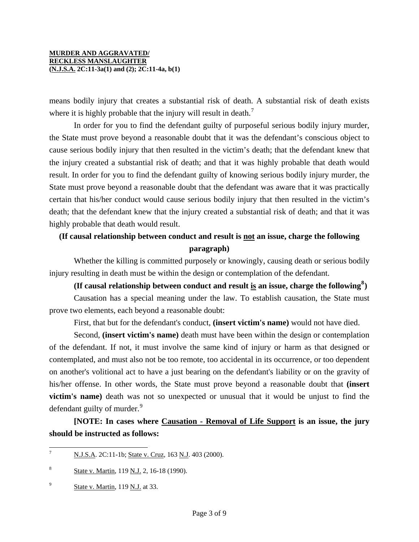means bodily injury that creates a substantial risk of death. A substantial risk of death exists where it is highly probable that the injury will result in death.<sup>[7](#page-1-2)</sup>

 In order for you to find the defendant guilty of purposeful serious bodily injury murder, the State must prove beyond a reasonable doubt that it was the defendant's conscious object to cause serious bodily injury that then resulted in the victim's death; that the defendant knew that the injury created a substantial risk of death; and that it was highly probable that death would result. In order for you to find the defendant guilty of knowing serious bodily injury murder, the State must prove beyond a reasonable doubt that the defendant was aware that it was practically certain that his/her conduct would cause serious bodily injury that then resulted in the victim's death; that the defendant knew that the injury created a substantial risk of death; and that it was highly probable that death would result.

## **(If causal relationship between conduct and result is not an issue, charge the following paragraph)**

 Whether the killing is committed purposely or knowingly, causing death or serious bodily injury resulting in death must be within the design or contemplation of the defendant.

**(If causal relationship between conduct and result is an issue, charge the following[8](#page-2-0) )** 

 Causation has a special meaning under the law. To establish causation, the State must prove two elements, each beyond a reasonable doubt:

First, that but for the defendant's conduct, **(insert victim's name)** would not have died.

 Second, **(insert victim's name)** death must have been within the design or contemplation of the defendant. If not, it must involve the same kind of injury or harm as that designed or contemplated, and must also not be too remote, too accidental in its occurrence, or too dependent on another's volitional act to have a just bearing on the defendant's liability or on the gravity of his/her offense. In other words, the State must prove beyond a reasonable doubt that **(insert victim's name)** death was not so unexpected or unusual that it would be unjust to find the defendant guilty of murder.<sup>[9](#page-2-1)</sup>

**[NOTE: In cases where Causation - Removal of Life Support is an issue, the jury should be instructed as follows:** 

<span id="page-2-2"></span> $\overline{7}$ N.J.S.A. 2C:11-1b; State v. Cruz, 163 N.J. 403 (2000).

<span id="page-2-0"></span><sup>8</sup> State v. Martin, 119 N.J. 2, 16-18 (1990).

<span id="page-2-1"></span> $\frac{9}{5}$  State v. Martin, 119 N.J. at 33.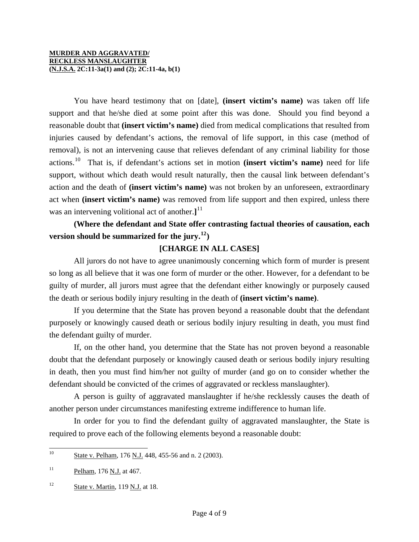You have heard testimony that on [date], **(insert victim's name)** was taken off life support and that he/she died at some point after this was done. Should you find beyond a reasonable doubt that **(insert victim's name)** died from medical complications that resulted from injuries caused by defendant's actions, the removal of life support, in this case (method of removal), is not an intervening cause that relieves defendant of any criminal liability for those actions.[10](#page-2-2) That is, if defendant's actions set in motion **(insert victim's name)** need for life support, without which death would result naturally, then the causal link between defendant's action and the death of **(insert victim's name)** was not broken by an unforeseen, extraordinary act when **(insert victim's name)** was removed from life support and then expired, unless there was an intervening volitional act of another.**]** [11](#page-3-0)

## **(Where the defendant and State offer contrasting factual theories of causation, each version should be summarized for the jury.**<sup>[12](#page-3-1)</sup> $)$

## **[CHARGE IN ALL CASES]**

 All jurors do not have to agree unanimously concerning which form of murder is present so long as all believe that it was one form of murder or the other. However, for a defendant to be guilty of murder, all jurors must agree that the defendant either knowingly or purposely caused the death or serious bodily injury resulting in the death of **(insert victim's name)**.

 If you determine that the State has proven beyond a reasonable doubt that the defendant purposely or knowingly caused death or serious bodily injury resulting in death, you must find the defendant guilty of murder.

<span id="page-3-2"></span> If, on the other hand, you determine that the State has not proven beyond a reasonable doubt that the defendant purposely or knowingly caused death or serious bodily injury resulting in death, then you must find him/her not guilty of murder (and go on to consider whether the defendant should be convicted of the crimes of aggravated or reckless manslaughter).

 A person is guilty of aggravated manslaughter if he/she recklessly causes the death of another person under circumstances manifesting extreme indifference to human life.

 In order for you to find the defendant guilty of aggravated manslaughter, the State is required to prove each of the following elements beyond a reasonable doubt:

<sup>10</sup> State v. Pelham, 176 N.J. 448, 455-56 and n. 2 (2003).

<span id="page-3-0"></span> $11$  Pelham, 176 N.J. at 467.

<span id="page-3-1"></span> $12$  State v. Martin, 119 N.J. at 18.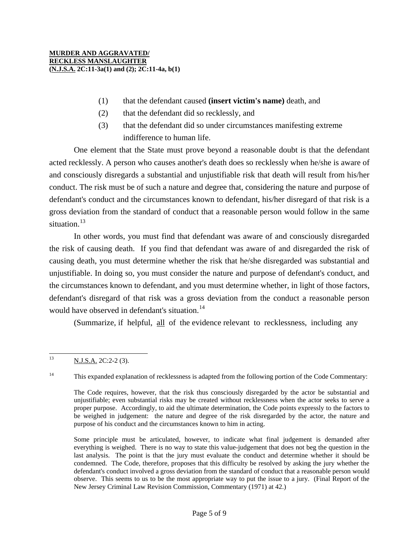- (1) that the defendant caused **(insert victim's name)** death, and
- (2) that the defendant did so recklessly, and
- (3) that the defendant did so under circumstances manifesting extreme indifference to human life.

 One element that the State must prove beyond a reasonable doubt is that the defendant acted recklessly. A person who causes another's death does so recklessly when he/she is aware of and consciously disregards a substantial and unjustifiable risk that death will result from his/her conduct. The risk must be of such a nature and degree that, considering the nature and purpose of defendant's conduct and the circumstances known to defendant, his/her disregard of that risk is a gross deviation from the standard of conduct that a reasonable person would follow in the same situation.<sup>[13](#page-3-2)</sup>

 In other words, you must find that defendant was aware of and consciously disregarded the risk of causing death. If you find that defendant was aware of and disregarded the risk of causing death, you must determine whether the risk that he/she disregarded was substantial and unjustifiable. In doing so, you must consider the nature and purpose of defendant's conduct, and the circumstances known to defendant, and you must determine whether, in light of those factors, defendant's disregard of that risk was a gross deviation from the conduct a reasonable person would have observed in defendant's situation.<sup>[14](#page-4-0)</sup>

(Summarize, if helpful, all of the evidence relevant to recklessness, including any

<span id="page-4-1"></span><span id="page-4-0"></span><sup>14</sup> This expanded explanation of recklessness is adapted from the following portion of the Code Commentary:

Some principle must be articulated, however, to indicate what final judgement is demanded after everything is weighed. There is no way to state this value-judgement that does not beg the question in the last analysis. The point is that the jury must evaluate the conduct and determine whether it should be condemned. The Code, therefore, proposes that this difficulty be resolved by asking the jury whether the defendant's conduct involved a gross deviation from the standard of conduct that a reasonable person would observe. This seems to us to be the most appropriate way to put the issue to a jury. (Final Report of the New Jersey Criminal Law Revision Commission, Commentary (1971) at 42.)

 $13$ N.J.S.A. 2C:2-2 (3).

The Code requires, however, that the risk thus consciously disregarded by the actor be substantial and unjustifiable; even substantial risks may be created without recklessness when the actor seeks to serve a proper purpose. Accordingly, to aid the ultimate determination, the Code points expressly to the factors to be weighed in judgement: the nature and degree of the risk disregarded by the actor, the nature and purpose of his conduct and the circumstances known to him in acting.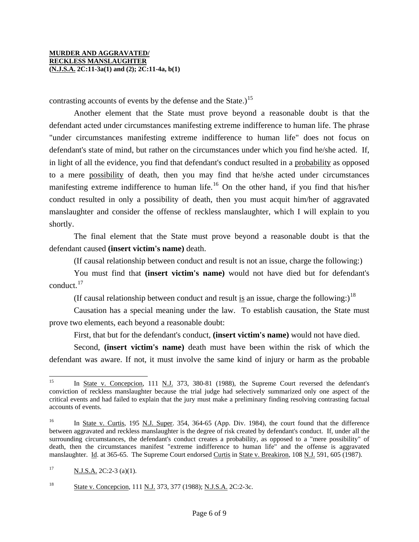contrasting accounts of events by the defense and the State.)<sup>[15](#page-4-1)</sup>

 Another element that the State must prove beyond a reasonable doubt is that the defendant acted under circumstances manifesting extreme indifference to human life. The phrase "under circumstances manifesting extreme indifference to human life" does not focus on defendant's state of mind, but rather on the circumstances under which you find he/she acted. If, in light of all the evidence, you find that defendant's conduct resulted in a probability as opposed to a mere possibility of death, then you may find that he/she acted under circumstances manifesting extreme indifference to human life.<sup>[16](#page-5-0)</sup> On the other hand, if you find that his/her conduct resulted in only a possibility of death, then you must acquit him/her of aggravated manslaughter and consider the offense of reckless manslaughter, which I will explain to you shortly.

 The final element that the State must prove beyond a reasonable doubt is that the defendant caused **(insert victim's name)** death.

(If causal relationship between conduct and result is not an issue, charge the following:)

 You must find that **(insert victim's name)** would not have died but for defendant's conduct.[17](#page-5-1)

(If causal relationship between conduct and result is an issue, charge the following:)<sup>[18](#page-5-2)</sup>

 Causation has a special meaning under the law. To establish causation, the State must prove two elements, each beyond a reasonable doubt:

First, that but for the defendant's conduct, **(insert victim's name)** would not have died.

 Second, **(insert victim's name)** death must have been within the risk of which the defendant was aware. If not, it must involve the same kind of injury or harm as the probable

<sup>15</sup> In State v. Concepcion, 111 N.J. 373, 380-81 (1988), the Supreme Court reversed the defendant's conviction of reckless manslaughter because the trial judge had selectively summarized only one aspect of the critical events and had failed to explain that the jury must make a preliminary finding resolving contrasting factual accounts of events.

<span id="page-5-0"></span><sup>&</sup>lt;sup>16</sup> In <u>State v. Curtis</u>, 195 <u>N.J. Super</u>. 354, 364-65 (App. Div. 1984), the court found that the difference between aggravated and reckless manslaughter is the degree of risk created by defendant's conduct. If, under all the surrounding circumstances, the defendant's conduct creates a probability, as opposed to a "mere possibility" of death, then the circumstances manifest "extreme indifference to human life" and the offense is aggravated manslaughter. Id. at 365-65. The Supreme Court endorsed Curtis in State v. Breakiron, 108 N.J. 591, 605 (1987).

<span id="page-5-3"></span><span id="page-5-1"></span> $\frac{N.J.S.A.}{2C:2-3}$  (a)(1).

<span id="page-5-2"></span><sup>&</sup>lt;sup>18</sup> State v. Concepcion, 111 N.J. 373, 377 (1988); N.J.S.A. 2C:2-3c.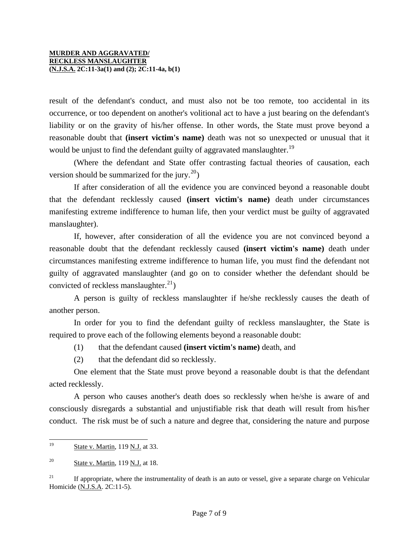result of the defendant's conduct, and must also not be too remote, too accidental in its occurrence, or too dependent on another's volitional act to have a just bearing on the defendant's liability or on the gravity of his/her offense. In other words, the State must prove beyond a reasonable doubt that **(insert victim's name)** death was not so unexpected or unusual that it would be unjust to find the defendant guilty of aggravated manslaughter.<sup>[19](#page-5-3)</sup>

 (Where the defendant and State offer contrasting factual theories of causation, each version should be summarized for the jury.<sup>[20](#page-6-0)</sup>)

 If after consideration of all the evidence you are convinced beyond a reasonable doubt that the defendant recklessly caused **(insert victim's name)** death under circumstances manifesting extreme indifference to human life, then your verdict must be guilty of aggravated manslaughter).

 If, however, after consideration of all the evidence you are not convinced beyond a reasonable doubt that the defendant recklessly caused **(insert victim's name)** death under circumstances manifesting extreme indifference to human life, you must find the defendant not guilty of aggravated manslaughter (and go on to consider whether the defendant should be convicted of reckless manslaughter. $^{21}$  $^{21}$  $^{21}$ )

 A person is guilty of reckless manslaughter if he/she recklessly causes the death of another person.

 In order for you to find the defendant guilty of reckless manslaughter, the State is required to prove each of the following elements beyond a reasonable doubt:

- (1) that the defendant caused **(insert victim's name)** death, and
- (2) that the defendant did so recklessly.

 One element that the State must prove beyond a reasonable doubt is that the defendant acted recklessly.

 A person who causes another's death does so recklessly when he/she is aware of and consciously disregards a substantial and unjustifiable risk that death will result from his/her conduct. The risk must be of such a nature and degree that, considering the nature and purpose

<span id="page-6-2"></span><sup>19</sup> State v. Martin, 119 N.J. at 33.

<span id="page-6-0"></span> $20$  State v. Martin, 119 N.J. at 18.

<span id="page-6-1"></span><sup>&</sup>lt;sup>21</sup> If appropriate, where the instrumentality of death is an auto or vessel, give a separate charge on Vehicular Homicide (N.J.S.A. 2C:11-5).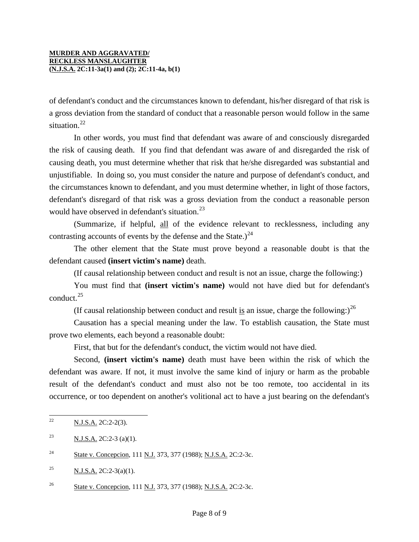of defendant's conduct and the circumstances known to defendant, his/her disregard of that risk is a gross deviation from the standard of conduct that a reasonable person would follow in the same situation.<sup>[22](#page-6-2)</sup>

 In other words, you must find that defendant was aware of and consciously disregarded the risk of causing death. If you find that defendant was aware of and disregarded the risk of causing death, you must determine whether that risk that he/she disregarded was substantial and unjustifiable. In doing so, you must consider the nature and purpose of defendant's conduct, and the circumstances known to defendant, and you must determine whether, in light of those factors, defendant's disregard of that risk was a gross deviation from the conduct a reasonable person would have observed in defendant's situation. $^{23}$  $^{23}$  $^{23}$ 

 (Summarize, if helpful, all of the evidence relevant to recklessness, including any contrasting accounts of events by the defense and the State.) $^{24}$  $^{24}$  $^{24}$ 

 The other element that the State must prove beyond a reasonable doubt is that the defendant caused **(insert victim's name)** death.

(If causal relationship between conduct and result is not an issue, charge the following:)

 You must find that **(insert victim's name)** would not have died but for defendant's conduct.<sup>[25](#page-7-2)</sup>

(If causal relationship between conduct and result is an issue, charge the following:)<sup>[26](#page-7-3)</sup>

 Causation has a special meaning under the law. To establish causation, the State must prove two elements, each beyond a reasonable doubt:

First, that but for the defendant's conduct, the victim would not have died.

 Second, **(insert victim's name)** death must have been within the risk of which the defendant was aware. If not, it must involve the same kind of injury or harm as the probable result of the defendant's conduct and must also not be too remote, too accidental in its occurrence, or too dependent on another's volitional act to have a just bearing on the defendant's

 $22$ <sup>22</sup> N.J.S.A. 2C:2-2(3).

<span id="page-7-0"></span><sup>&</sup>lt;sup>23</sup> N.J.S.A. 2C:2-3 (a)(1).

<span id="page-7-1"></span><sup>&</sup>lt;sup>24</sup> State v. Concepcion, 111 N.J. 373, 377 (1988); N.J.S.A. 2C:2-3c.

<span id="page-7-2"></span><sup>&</sup>lt;sup>25</sup> N.J.S.A. 2C:2-3(a)(1).

<span id="page-7-3"></span><sup>&</sup>lt;sup>26</sup> State v. Concepcion, 111 N.J. 373, 377 (1988); N.J.S.A. 2C:2-3c.